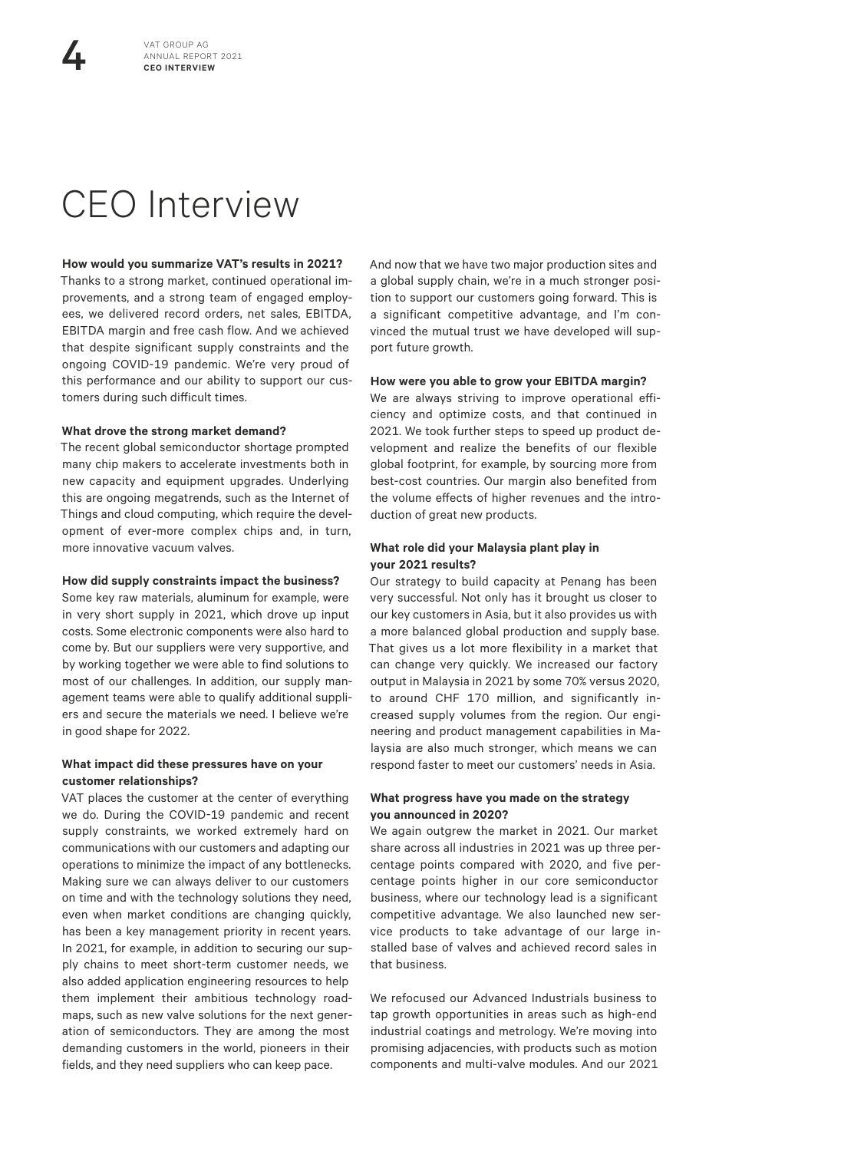# CEO Interview

#### **How would you summarize VAT's results in 2021?**

Thanks to a strong market, continued operational improvements, and a strong team of engaged employees, we delivered record orders, net sales, EBITDA, EBITDA margin and free cash flow. And we achieved that despite significant supply constraints and the ongoing COVID-19 pandemic. We're very proud of this performance and our ability to support our customers during such difficult times.

## **What drove the strong market demand?**

The recent global semiconductor shortage prompted many chip makers to accelerate investments both in new capacity and equipment upgrades. Underlying this are ongoing megatrends, such as the Internet of Things and cloud computing, which require the development of ever-more complex chips and, in turn, more innovative vacuum valves.

#### **How did supply constraints impact the business?**

Some key raw materials, aluminum for example, were in very short supply in 2021, which drove up input costs. Some electronic components were also hard to come by. But our suppliers were very supportive, and by working together we were able to find solutions to most of our challenges. In addition, our supply management teams were able to qualify additional suppliers and secure the materials we need. I believe we're in good shape for 2022.

## **What impact did these pressures have on your customer relationships?**

VAT places the customer at the center of everything we do. During the COVID-19 pandemic and recent supply constraints, we worked extremely hard on communications with our customers and adapting our operations to minimize the impact of any bottlenecks. Making sure we can always deliver to our customers on time and with the technology solutions they need, even when market conditions are changing quickly, has been a key management priority in recent years. In 2021, for example, in addition to securing our supply chains to meet short-term customer needs, we also added application engineering resources to help them implement their ambitious technology roadmaps, such as new valve solutions for the next generation of semiconductors. They are among the most demanding customers in the world, pioneers in their fields, and they need suppliers who can keep pace.

And now that we have two major production sites and a global supply chain, we're in a much stronger position to support our customers going forward. This is a significant competitive advantage, and I'm convinced the mutual trust we have developed will support future growth.

#### **How were you able to grow your EBITDA margin?**

We are always striving to improve operational efficiency and optimize costs, and that continued in 2021. We took further steps to speed up product development and realize the benefits of our flexible global footprint, for example, by sourcing more from best-cost countries. Our margin also benefited from the volume effects of higher revenues and the introduction of great new products.

#### **What role did your Malaysia plant play in your 2021 results?**

Our strategy to build capacity at Penang has been very successful. Not only has it brought us closer to our key customers in Asia, but it also provides us with a more balanced global production and supply base. That gives us a lot more flexibility in a market that can change very quickly. We increased our factory output in Malaysia in 2021 by some 70% versus 2020, to around CHF 170 million, and significantly increased supply volumes from the region. Our engineering and product management capabilities in Malaysia are also much stronger, which means we can respond faster to meet our customers' needs in Asia.

# **What progress have you made on the strategy you announced in 2020?**

We again outgrew the market in 2021. Our market share across all industries in 2021 was up three percentage points compared with 2020, and five percentage points higher in our core semiconductor business, where our technology lead is a significant competitive advantage. We also launched new service products to take advantage of our large installed base of valves and achieved record sales in that business.

We refocused our Advanced Industrials business to tap growth opportunities in areas such as high-end industrial coatings and metrology. We're moving into promising adjacencies, with products such as motion components and multi-valve modules. And our 2021